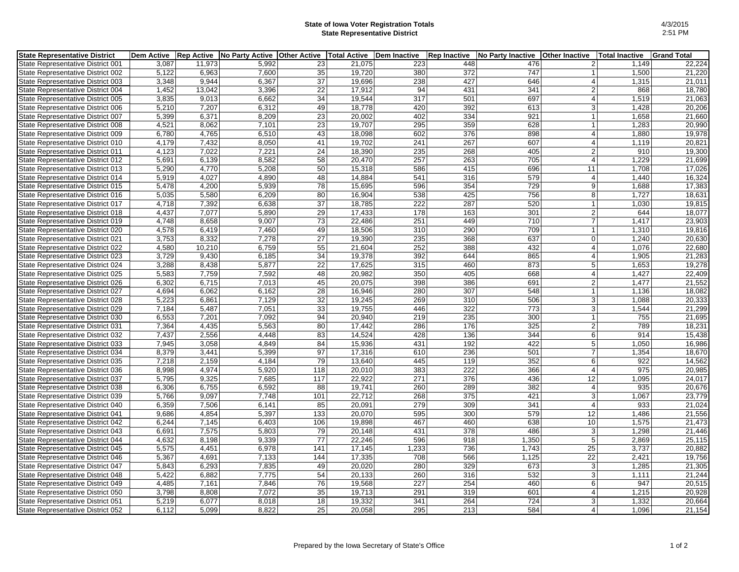## **State of Iowa Voter Registration Totals State Representative District**

| State Representative District 001<br>11,973<br>5.992<br>21,075<br>448<br>3,087<br>23<br>223<br>476<br>1,149<br>$\overline{2}$<br>35<br>372<br>5,122<br>7,600<br>19,720<br>380<br>747<br>State Representative District 002<br>6,963<br>1,500<br>$\mathbf{1}$<br>$\overline{37}$<br>3,348<br>9,944<br>6,367<br>427<br>19,696<br>238<br>646<br>$\vert$<br>1,315<br>State Representative District 003<br>1,452<br>13,042<br>3,396<br>22<br>17,912<br>431<br>341<br>$\overline{2}$<br>868<br>State Representative District 004<br>94<br>34<br>501<br>697<br>3,835<br>9,013<br>6,662<br>19,544<br>317<br>$\vert$<br>1,519<br>State Representative District 005<br>392<br>5,210<br>6,312<br>49<br>18,778<br>420<br>613<br>3 <sup>1</sup><br>State Representative District 006<br>7,207<br>1,428<br>$\overline{23}$<br>334<br>5,399<br>6,371<br>8,209<br>20,002<br>402<br>921<br>1,658<br>State Representative District 007<br>$\vert$ 1<br>4,521<br>7,101<br>23<br>19,707<br>295<br>359<br>628<br>1,283<br>State Representative District 008<br>8,062<br>1<br>6,780<br>4,765<br>6,510<br>43<br>18,098<br>602<br>376<br>898<br>1,880<br>State Representative District 009<br>$\vert$<br>41<br>267<br>607<br>State Representative District 010<br>4,179<br>7,432<br>8,050<br>19,702<br>241<br>1,119<br>$\vert$<br>$\overline{24}$<br>235<br>268<br>4,123<br>7,022<br>7,221<br>18,390<br>405<br>$\overline{2}$<br>910<br>State Representative District 011<br>8,582<br>$\overline{58}$<br>257<br>263<br>705<br>1,229<br>State Representative District 012<br>5,691<br>6,139<br>20,470<br>4 <sup>1</sup><br>5,290<br>5,208<br>50<br>15,318<br>586<br>415<br>696<br>1,708<br>State Representative District 013<br>4,770<br>11<br>4,027<br>4,890<br>48<br>541<br>316<br>579<br>16,324<br>5,919<br>14,884<br>$\vert$<br>1,440<br>State Representative District 014<br>5,478<br>4,200<br>5,939<br>78<br>15,695<br>596<br>354<br>729<br>9 <sup>1</sup><br>1,688<br>17,383<br>State Representative District 015<br>80<br>538<br>425<br>756<br>5,035<br>5,580<br>6,209<br>16,904<br>8 <sup>1</sup><br>1,727<br>18,631<br>State Representative District 016<br>6,638<br>37<br>18,785<br>222<br>287<br>520<br>State Representative District 017<br>4,718<br>7,392<br>1,030<br>1<br>4,437<br>7,077<br>5,890<br>29<br>17,433<br>178<br>163<br>301<br>$\overline{2}$<br>644<br>18,077<br>State Representative District 018<br>9,007<br>73<br>251<br>449<br>710<br>$\overline{7}$<br>State Representative District 019<br>4,748<br>8,658<br>22,486<br>1,417<br>23,903<br>4,578<br>6,419<br>7,460<br>49<br>18,506<br>310<br>290<br>709<br>1,310<br>State Representative District 020<br>1<br>27<br>235<br>637<br>State Representative District 021<br>3,753<br>8,332<br>7,278<br>19,390<br>368<br>$\overline{0}$<br>1,240<br>55<br>252<br>388<br>432<br>4,580<br>6,759<br>21,604<br>1,076<br>22,680<br>State Representative District 022<br>10,210<br>$\vert$<br>3,729<br>9,430<br>6,185<br>34<br>19,378<br>392<br>644<br>865<br>1,905<br>21,283<br>State Representative District 023<br>4 <sup>1</sup><br>$\overline{22}$<br>8,438<br>5,877<br>17,625<br>460<br>873<br>5 <sup>1</sup><br>State Representative District 024<br>3,288<br>315<br>1,653<br>19,278<br>5,583<br>7,759<br>7,592<br>48<br>20,982<br>350<br>405<br>668<br>$\vert$<br>1,427<br>State Representative District 025<br>22,409<br>45<br>20,075<br>398<br>386<br>$\overline{2}$<br>21,552<br>State Representative District 026<br>6,302<br>6,715<br>7,013<br>691<br>1,477<br>28<br>307<br>548<br>4,694<br>6,062<br>6,162<br>16,946<br>280<br>18,082<br>State Representative District 027<br>1<br>1,136<br>7,129<br>269<br>310<br>506<br>5,223<br>6,861<br>32<br>19,245<br>3 <sup>1</sup><br>1,088<br>20,333<br>State Representative District 028<br>33<br>7,184<br>5,487<br>7,051<br>19,755<br>446<br>322<br>773<br>3 <sup>1</sup><br>1,544<br>21,299<br>State Representative District 029<br>7,092<br>94<br>235<br>300<br>755<br>6,553<br>7,201<br>20,940<br>219<br>21,695<br>State Representative District 030<br>$\mathbf{1}$<br>7,364<br>4,435<br>5,563<br>17,442<br>286<br>176<br>325<br>$\overline{2}$<br>789<br>18,231<br>State Representative District 031<br>80<br>344<br>7,437<br>2,556<br>4,448<br>83<br>14,524<br>428<br>136<br>6 <sup>1</sup><br>914<br>15,438<br>State Representative District 032<br>4,849<br>84<br>15,936<br>431<br>192<br>422<br>5 <sup>1</sup><br>1,050<br>16,986<br>State Representative District 033<br>7,945<br>3,058<br>5,399<br>8,379<br>3,441<br>97<br>17,316<br>610<br>236<br>501<br>$\overline{7}$<br>1,354<br>18,670<br>State Representative District 034<br>4,184<br>79<br>352<br>922<br>State Representative District 035<br>7,218<br>2,159<br>13,640<br>445<br>119<br>6 <sup>1</sup><br>14,562<br>222<br>975<br>8,998<br>4,974<br>5,920<br>118<br>20,010<br>383<br>366<br>$\vert$<br>20,985<br>State Representative District 036<br>9,325<br>7,685<br>22,922<br>271<br>376<br>436<br>12<br>State Representative District 037<br>5,795<br>117<br>1,095<br>24,017<br>6,592<br>19,741<br>260<br>289<br>382<br>20,676<br>State Representative District 038<br>6,306<br>6,755<br>88<br>935<br>$\vert$<br>5,766<br>7,748<br>268<br>375<br>421<br>3 <sup>1</sup><br>9,097<br>101<br>22,712<br>1,067<br>23,779<br>State Representative District 039<br>933<br>State Representative District 040<br>6,359<br>7,506<br>6,141<br>85<br>20,091<br>279<br>309<br>341<br>4 <sup>1</sup><br>21,024<br>5,397<br>133<br>300<br>579<br>12<br>9,686<br>4,854<br>20,070<br>595<br>1,486<br>21,556<br>State Representative District 041<br>467<br>460<br>638<br>10<br>1,575<br>6,244<br>7.145<br>6,403<br>106<br>19,898<br>21,473<br>State Representative District 042<br>431<br>$\overline{378}$<br>6,691<br>7,575<br>5,803<br>79<br>20,148<br>486<br>$\lvert 3 \rvert$<br>1,298<br>State Representative District 043<br>4,632<br>8,198<br>9,339<br>$\overline{77}$<br>22,246<br>596<br>918<br>1,350<br>5 <sup>1</sup><br>2,869<br>State Representative District 044<br>4,451<br>6,978<br>141<br>17,145<br>1,233<br>736<br>1,743<br>25<br>3,737<br>20,882<br>State Representative District 045<br>5,575<br>17,335<br>566<br>$\overline{22}$<br>5,367<br>4,691<br>7,133<br>144<br>708<br>1,125<br>2,421<br>19,756<br>State Representative District 046<br>5,843<br>6,293<br>7,835<br>20,020<br>280<br>329<br>673<br>3 <sup>1</sup><br>1,285<br><b>State Representative District 047</b><br>49<br>21,305<br>532<br>5,422<br>6,882<br>7,775<br>54<br>20,133<br>260<br>316<br>3 <br>1,111<br>State Representative District 048<br>227<br>254<br>460<br>4,485<br>7,161<br>7,846<br>76<br>19,568<br>947<br>$6 \mid$<br>State Representative District 049<br>3,798<br>7,072<br>35<br>19,713<br>291<br>319<br>601<br>1,215<br>State Representative District 050<br>8,808<br>4 <sup>1</sup><br>8,018<br>18<br>19,332<br>264<br>724<br>5,219<br>6,077<br>341<br>3 <sup>1</sup><br>1,332<br>State Representative District 051<br>6,112<br>5,099<br>8,822<br>25<br>20,058<br>295<br>213<br>584<br>1,096<br>State Representative District 052<br>4 <sup>1</sup> | <b>State Representative District</b> | <b>Dem Active</b> | <b>Rep Active</b> | No Party Active | <b>Other Active</b> | <b>Total Active</b> | <b>Dem Inactive</b> | <b>Rep Inactive</b> | No Party Inactive | <b>Other Inactive</b> | <b>Total Inactive</b> | <b>Grand Total</b> |
|-----------------------------------------------------------------------------------------------------------------------------------------------------------------------------------------------------------------------------------------------------------------------------------------------------------------------------------------------------------------------------------------------------------------------------------------------------------------------------------------------------------------------------------------------------------------------------------------------------------------------------------------------------------------------------------------------------------------------------------------------------------------------------------------------------------------------------------------------------------------------------------------------------------------------------------------------------------------------------------------------------------------------------------------------------------------------------------------------------------------------------------------------------------------------------------------------------------------------------------------------------------------------------------------------------------------------------------------------------------------------------------------------------------------------------------------------------------------------------------------------------------------------------------------------------------------------------------------------------------------------------------------------------------------------------------------------------------------------------------------------------------------------------------------------------------------------------------------------------------------------------------------------------------------------------------------------------------------------------------------------------------------------------------------------------------------------------------------------------------------------------------------------------------------------------------------------------------------------------------------------------------------------------------------------------------------------------------------------------------------------------------------------------------------------------------------------------------------------------------------------------------------------------------------------------------------------------------------------------------------------------------------------------------------------------------------------------------------------------------------------------------------------------------------------------------------------------------------------------------------------------------------------------------------------------------------------------------------------------------------------------------------------------------------------------------------------------------------------------------------------------------------------------------------------------------------------------------------------------------------------------------------------------------------------------------------------------------------------------------------------------------------------------------------------------------------------------------------------------------------------------------------------------------------------------------------------------------------------------------------------------------------------------------------------------------------------------------------------------------------------------------------------------------------------------------------------------------------------------------------------------------------------------------------------------------------------------------------------------------------------------------------------------------------------------------------------------------------------------------------------------------------------------------------------------------------------------------------------------------------------------------------------------------------------------------------------------------------------------------------------------------------------------------------------------------------------------------------------------------------------------------------------------------------------------------------------------------------------------------------------------------------------------------------------------------------------------------------------------------------------------------------------------------------------------------------------------------------------------------------------------------------------------------------------------------------------------------------------------------------------------------------------------------------------------------------------------------------------------------------------------------------------------------------------------------------------------------------------------------------------------------------------------------------------------------------------------------------------------------------------------------------------------------------------------------------------------------------------------------------------------------------------------------------------------------------------------------------------------------------------------------------------------------------------------------------------------------------------------------------------------------------------------------------------------------------------------------------------------------------------------------------------------------------------------------------------------------------------------------------------------------------------------------------------------------------------------------------------------------------------------------------------------------------------------------------------------------------------------------------------------------------------------------------------------------------------------------------------------------------------------------------------------------------------------------------------------------------------------------------------------------------------------------------------------------------------------------------------------------------------------------------------------------------------------------------------------------------------------------------------------------------------------------------------------------------------------------------------------------------------------------------------------------------------------------------------------------------------------------------------------------------------------------------------------------------------------------------------------------------------|--------------------------------------|-------------------|-------------------|-----------------|---------------------|---------------------|---------------------|---------------------|-------------------|-----------------------|-----------------------|--------------------|
|                                                                                                                                                                                                                                                                                                                                                                                                                                                                                                                                                                                                                                                                                                                                                                                                                                                                                                                                                                                                                                                                                                                                                                                                                                                                                                                                                                                                                                                                                                                                                                                                                                                                                                                                                                                                                                                                                                                                                                                                                                                                                                                                                                                                                                                                                                                                                                                                                                                                                                                                                                                                                                                                                                                                                                                                                                                                                                                                                                                                                                                                                                                                                                                                                                                                                                                                                                                                                                                                                                                                                                                                                                                                                                                                                                                                                                                                                                                                                                                                                                                                                                                                                                                                                                                                                                                                                                                                                                                                                                                                                                                                                                                                                                                                                                                                                                                                                                                                                                                                                                                                                                                                                                                                                                                                                                                                                                                                                                                                                                                                                                                                                                                                                                                                                                                                                                                                                                                                                                                                                                                                                                                                                                                                                                                                                                                                                                                                                                                                                                                                                                                                                                                                                                                                                                                                                                                                                                                                                                                                                                                                                                                       |                                      |                   |                   |                 |                     |                     |                     |                     |                   |                       |                       | 22,224             |
|                                                                                                                                                                                                                                                                                                                                                                                                                                                                                                                                                                                                                                                                                                                                                                                                                                                                                                                                                                                                                                                                                                                                                                                                                                                                                                                                                                                                                                                                                                                                                                                                                                                                                                                                                                                                                                                                                                                                                                                                                                                                                                                                                                                                                                                                                                                                                                                                                                                                                                                                                                                                                                                                                                                                                                                                                                                                                                                                                                                                                                                                                                                                                                                                                                                                                                                                                                                                                                                                                                                                                                                                                                                                                                                                                                                                                                                                                                                                                                                                                                                                                                                                                                                                                                                                                                                                                                                                                                                                                                                                                                                                                                                                                                                                                                                                                                                                                                                                                                                                                                                                                                                                                                                                                                                                                                                                                                                                                                                                                                                                                                                                                                                                                                                                                                                                                                                                                                                                                                                                                                                                                                                                                                                                                                                                                                                                                                                                                                                                                                                                                                                                                                                                                                                                                                                                                                                                                                                                                                                                                                                                                                                       |                                      |                   |                   |                 |                     |                     |                     |                     |                   |                       |                       | 21,220             |
|                                                                                                                                                                                                                                                                                                                                                                                                                                                                                                                                                                                                                                                                                                                                                                                                                                                                                                                                                                                                                                                                                                                                                                                                                                                                                                                                                                                                                                                                                                                                                                                                                                                                                                                                                                                                                                                                                                                                                                                                                                                                                                                                                                                                                                                                                                                                                                                                                                                                                                                                                                                                                                                                                                                                                                                                                                                                                                                                                                                                                                                                                                                                                                                                                                                                                                                                                                                                                                                                                                                                                                                                                                                                                                                                                                                                                                                                                                                                                                                                                                                                                                                                                                                                                                                                                                                                                                                                                                                                                                                                                                                                                                                                                                                                                                                                                                                                                                                                                                                                                                                                                                                                                                                                                                                                                                                                                                                                                                                                                                                                                                                                                                                                                                                                                                                                                                                                                                                                                                                                                                                                                                                                                                                                                                                                                                                                                                                                                                                                                                                                                                                                                                                                                                                                                                                                                                                                                                                                                                                                                                                                                                                       |                                      |                   |                   |                 |                     |                     |                     |                     |                   |                       |                       | 21,011             |
|                                                                                                                                                                                                                                                                                                                                                                                                                                                                                                                                                                                                                                                                                                                                                                                                                                                                                                                                                                                                                                                                                                                                                                                                                                                                                                                                                                                                                                                                                                                                                                                                                                                                                                                                                                                                                                                                                                                                                                                                                                                                                                                                                                                                                                                                                                                                                                                                                                                                                                                                                                                                                                                                                                                                                                                                                                                                                                                                                                                                                                                                                                                                                                                                                                                                                                                                                                                                                                                                                                                                                                                                                                                                                                                                                                                                                                                                                                                                                                                                                                                                                                                                                                                                                                                                                                                                                                                                                                                                                                                                                                                                                                                                                                                                                                                                                                                                                                                                                                                                                                                                                                                                                                                                                                                                                                                                                                                                                                                                                                                                                                                                                                                                                                                                                                                                                                                                                                                                                                                                                                                                                                                                                                                                                                                                                                                                                                                                                                                                                                                                                                                                                                                                                                                                                                                                                                                                                                                                                                                                                                                                                                                       |                                      |                   |                   |                 |                     |                     |                     |                     |                   |                       |                       | 18,780             |
|                                                                                                                                                                                                                                                                                                                                                                                                                                                                                                                                                                                                                                                                                                                                                                                                                                                                                                                                                                                                                                                                                                                                                                                                                                                                                                                                                                                                                                                                                                                                                                                                                                                                                                                                                                                                                                                                                                                                                                                                                                                                                                                                                                                                                                                                                                                                                                                                                                                                                                                                                                                                                                                                                                                                                                                                                                                                                                                                                                                                                                                                                                                                                                                                                                                                                                                                                                                                                                                                                                                                                                                                                                                                                                                                                                                                                                                                                                                                                                                                                                                                                                                                                                                                                                                                                                                                                                                                                                                                                                                                                                                                                                                                                                                                                                                                                                                                                                                                                                                                                                                                                                                                                                                                                                                                                                                                                                                                                                                                                                                                                                                                                                                                                                                                                                                                                                                                                                                                                                                                                                                                                                                                                                                                                                                                                                                                                                                                                                                                                                                                                                                                                                                                                                                                                                                                                                                                                                                                                                                                                                                                                                                       |                                      |                   |                   |                 |                     |                     |                     |                     |                   |                       |                       | 21,063             |
|                                                                                                                                                                                                                                                                                                                                                                                                                                                                                                                                                                                                                                                                                                                                                                                                                                                                                                                                                                                                                                                                                                                                                                                                                                                                                                                                                                                                                                                                                                                                                                                                                                                                                                                                                                                                                                                                                                                                                                                                                                                                                                                                                                                                                                                                                                                                                                                                                                                                                                                                                                                                                                                                                                                                                                                                                                                                                                                                                                                                                                                                                                                                                                                                                                                                                                                                                                                                                                                                                                                                                                                                                                                                                                                                                                                                                                                                                                                                                                                                                                                                                                                                                                                                                                                                                                                                                                                                                                                                                                                                                                                                                                                                                                                                                                                                                                                                                                                                                                                                                                                                                                                                                                                                                                                                                                                                                                                                                                                                                                                                                                                                                                                                                                                                                                                                                                                                                                                                                                                                                                                                                                                                                                                                                                                                                                                                                                                                                                                                                                                                                                                                                                                                                                                                                                                                                                                                                                                                                                                                                                                                                                                       |                                      |                   |                   |                 |                     |                     |                     |                     |                   |                       |                       | 20,206             |
|                                                                                                                                                                                                                                                                                                                                                                                                                                                                                                                                                                                                                                                                                                                                                                                                                                                                                                                                                                                                                                                                                                                                                                                                                                                                                                                                                                                                                                                                                                                                                                                                                                                                                                                                                                                                                                                                                                                                                                                                                                                                                                                                                                                                                                                                                                                                                                                                                                                                                                                                                                                                                                                                                                                                                                                                                                                                                                                                                                                                                                                                                                                                                                                                                                                                                                                                                                                                                                                                                                                                                                                                                                                                                                                                                                                                                                                                                                                                                                                                                                                                                                                                                                                                                                                                                                                                                                                                                                                                                                                                                                                                                                                                                                                                                                                                                                                                                                                                                                                                                                                                                                                                                                                                                                                                                                                                                                                                                                                                                                                                                                                                                                                                                                                                                                                                                                                                                                                                                                                                                                                                                                                                                                                                                                                                                                                                                                                                                                                                                                                                                                                                                                                                                                                                                                                                                                                                                                                                                                                                                                                                                                                       |                                      |                   |                   |                 |                     |                     |                     |                     |                   |                       |                       | 21,660             |
|                                                                                                                                                                                                                                                                                                                                                                                                                                                                                                                                                                                                                                                                                                                                                                                                                                                                                                                                                                                                                                                                                                                                                                                                                                                                                                                                                                                                                                                                                                                                                                                                                                                                                                                                                                                                                                                                                                                                                                                                                                                                                                                                                                                                                                                                                                                                                                                                                                                                                                                                                                                                                                                                                                                                                                                                                                                                                                                                                                                                                                                                                                                                                                                                                                                                                                                                                                                                                                                                                                                                                                                                                                                                                                                                                                                                                                                                                                                                                                                                                                                                                                                                                                                                                                                                                                                                                                                                                                                                                                                                                                                                                                                                                                                                                                                                                                                                                                                                                                                                                                                                                                                                                                                                                                                                                                                                                                                                                                                                                                                                                                                                                                                                                                                                                                                                                                                                                                                                                                                                                                                                                                                                                                                                                                                                                                                                                                                                                                                                                                                                                                                                                                                                                                                                                                                                                                                                                                                                                                                                                                                                                                                       |                                      |                   |                   |                 |                     |                     |                     |                     |                   |                       |                       | 20,990             |
|                                                                                                                                                                                                                                                                                                                                                                                                                                                                                                                                                                                                                                                                                                                                                                                                                                                                                                                                                                                                                                                                                                                                                                                                                                                                                                                                                                                                                                                                                                                                                                                                                                                                                                                                                                                                                                                                                                                                                                                                                                                                                                                                                                                                                                                                                                                                                                                                                                                                                                                                                                                                                                                                                                                                                                                                                                                                                                                                                                                                                                                                                                                                                                                                                                                                                                                                                                                                                                                                                                                                                                                                                                                                                                                                                                                                                                                                                                                                                                                                                                                                                                                                                                                                                                                                                                                                                                                                                                                                                                                                                                                                                                                                                                                                                                                                                                                                                                                                                                                                                                                                                                                                                                                                                                                                                                                                                                                                                                                                                                                                                                                                                                                                                                                                                                                                                                                                                                                                                                                                                                                                                                                                                                                                                                                                                                                                                                                                                                                                                                                                                                                                                                                                                                                                                                                                                                                                                                                                                                                                                                                                                                                       |                                      |                   |                   |                 |                     |                     |                     |                     |                   |                       |                       | 19,978             |
|                                                                                                                                                                                                                                                                                                                                                                                                                                                                                                                                                                                                                                                                                                                                                                                                                                                                                                                                                                                                                                                                                                                                                                                                                                                                                                                                                                                                                                                                                                                                                                                                                                                                                                                                                                                                                                                                                                                                                                                                                                                                                                                                                                                                                                                                                                                                                                                                                                                                                                                                                                                                                                                                                                                                                                                                                                                                                                                                                                                                                                                                                                                                                                                                                                                                                                                                                                                                                                                                                                                                                                                                                                                                                                                                                                                                                                                                                                                                                                                                                                                                                                                                                                                                                                                                                                                                                                                                                                                                                                                                                                                                                                                                                                                                                                                                                                                                                                                                                                                                                                                                                                                                                                                                                                                                                                                                                                                                                                                                                                                                                                                                                                                                                                                                                                                                                                                                                                                                                                                                                                                                                                                                                                                                                                                                                                                                                                                                                                                                                                                                                                                                                                                                                                                                                                                                                                                                                                                                                                                                                                                                                                                       |                                      |                   |                   |                 |                     |                     |                     |                     |                   |                       |                       | 20,821             |
|                                                                                                                                                                                                                                                                                                                                                                                                                                                                                                                                                                                                                                                                                                                                                                                                                                                                                                                                                                                                                                                                                                                                                                                                                                                                                                                                                                                                                                                                                                                                                                                                                                                                                                                                                                                                                                                                                                                                                                                                                                                                                                                                                                                                                                                                                                                                                                                                                                                                                                                                                                                                                                                                                                                                                                                                                                                                                                                                                                                                                                                                                                                                                                                                                                                                                                                                                                                                                                                                                                                                                                                                                                                                                                                                                                                                                                                                                                                                                                                                                                                                                                                                                                                                                                                                                                                                                                                                                                                                                                                                                                                                                                                                                                                                                                                                                                                                                                                                                                                                                                                                                                                                                                                                                                                                                                                                                                                                                                                                                                                                                                                                                                                                                                                                                                                                                                                                                                                                                                                                                                                                                                                                                                                                                                                                                                                                                                                                                                                                                                                                                                                                                                                                                                                                                                                                                                                                                                                                                                                                                                                                                                                       |                                      |                   |                   |                 |                     |                     |                     |                     |                   |                       |                       | 19,300             |
|                                                                                                                                                                                                                                                                                                                                                                                                                                                                                                                                                                                                                                                                                                                                                                                                                                                                                                                                                                                                                                                                                                                                                                                                                                                                                                                                                                                                                                                                                                                                                                                                                                                                                                                                                                                                                                                                                                                                                                                                                                                                                                                                                                                                                                                                                                                                                                                                                                                                                                                                                                                                                                                                                                                                                                                                                                                                                                                                                                                                                                                                                                                                                                                                                                                                                                                                                                                                                                                                                                                                                                                                                                                                                                                                                                                                                                                                                                                                                                                                                                                                                                                                                                                                                                                                                                                                                                                                                                                                                                                                                                                                                                                                                                                                                                                                                                                                                                                                                                                                                                                                                                                                                                                                                                                                                                                                                                                                                                                                                                                                                                                                                                                                                                                                                                                                                                                                                                                                                                                                                                                                                                                                                                                                                                                                                                                                                                                                                                                                                                                                                                                                                                                                                                                                                                                                                                                                                                                                                                                                                                                                                                                       |                                      |                   |                   |                 |                     |                     |                     |                     |                   |                       |                       | 21,699             |
|                                                                                                                                                                                                                                                                                                                                                                                                                                                                                                                                                                                                                                                                                                                                                                                                                                                                                                                                                                                                                                                                                                                                                                                                                                                                                                                                                                                                                                                                                                                                                                                                                                                                                                                                                                                                                                                                                                                                                                                                                                                                                                                                                                                                                                                                                                                                                                                                                                                                                                                                                                                                                                                                                                                                                                                                                                                                                                                                                                                                                                                                                                                                                                                                                                                                                                                                                                                                                                                                                                                                                                                                                                                                                                                                                                                                                                                                                                                                                                                                                                                                                                                                                                                                                                                                                                                                                                                                                                                                                                                                                                                                                                                                                                                                                                                                                                                                                                                                                                                                                                                                                                                                                                                                                                                                                                                                                                                                                                                                                                                                                                                                                                                                                                                                                                                                                                                                                                                                                                                                                                                                                                                                                                                                                                                                                                                                                                                                                                                                                                                                                                                                                                                                                                                                                                                                                                                                                                                                                                                                                                                                                                                       |                                      |                   |                   |                 |                     |                     |                     |                     |                   |                       |                       | 17,026             |
|                                                                                                                                                                                                                                                                                                                                                                                                                                                                                                                                                                                                                                                                                                                                                                                                                                                                                                                                                                                                                                                                                                                                                                                                                                                                                                                                                                                                                                                                                                                                                                                                                                                                                                                                                                                                                                                                                                                                                                                                                                                                                                                                                                                                                                                                                                                                                                                                                                                                                                                                                                                                                                                                                                                                                                                                                                                                                                                                                                                                                                                                                                                                                                                                                                                                                                                                                                                                                                                                                                                                                                                                                                                                                                                                                                                                                                                                                                                                                                                                                                                                                                                                                                                                                                                                                                                                                                                                                                                                                                                                                                                                                                                                                                                                                                                                                                                                                                                                                                                                                                                                                                                                                                                                                                                                                                                                                                                                                                                                                                                                                                                                                                                                                                                                                                                                                                                                                                                                                                                                                                                                                                                                                                                                                                                                                                                                                                                                                                                                                                                                                                                                                                                                                                                                                                                                                                                                                                                                                                                                                                                                                                                       |                                      |                   |                   |                 |                     |                     |                     |                     |                   |                       |                       |                    |
|                                                                                                                                                                                                                                                                                                                                                                                                                                                                                                                                                                                                                                                                                                                                                                                                                                                                                                                                                                                                                                                                                                                                                                                                                                                                                                                                                                                                                                                                                                                                                                                                                                                                                                                                                                                                                                                                                                                                                                                                                                                                                                                                                                                                                                                                                                                                                                                                                                                                                                                                                                                                                                                                                                                                                                                                                                                                                                                                                                                                                                                                                                                                                                                                                                                                                                                                                                                                                                                                                                                                                                                                                                                                                                                                                                                                                                                                                                                                                                                                                                                                                                                                                                                                                                                                                                                                                                                                                                                                                                                                                                                                                                                                                                                                                                                                                                                                                                                                                                                                                                                                                                                                                                                                                                                                                                                                                                                                                                                                                                                                                                                                                                                                                                                                                                                                                                                                                                                                                                                                                                                                                                                                                                                                                                                                                                                                                                                                                                                                                                                                                                                                                                                                                                                                                                                                                                                                                                                                                                                                                                                                                                                       |                                      |                   |                   |                 |                     |                     |                     |                     |                   |                       |                       |                    |
|                                                                                                                                                                                                                                                                                                                                                                                                                                                                                                                                                                                                                                                                                                                                                                                                                                                                                                                                                                                                                                                                                                                                                                                                                                                                                                                                                                                                                                                                                                                                                                                                                                                                                                                                                                                                                                                                                                                                                                                                                                                                                                                                                                                                                                                                                                                                                                                                                                                                                                                                                                                                                                                                                                                                                                                                                                                                                                                                                                                                                                                                                                                                                                                                                                                                                                                                                                                                                                                                                                                                                                                                                                                                                                                                                                                                                                                                                                                                                                                                                                                                                                                                                                                                                                                                                                                                                                                                                                                                                                                                                                                                                                                                                                                                                                                                                                                                                                                                                                                                                                                                                                                                                                                                                                                                                                                                                                                                                                                                                                                                                                                                                                                                                                                                                                                                                                                                                                                                                                                                                                                                                                                                                                                                                                                                                                                                                                                                                                                                                                                                                                                                                                                                                                                                                                                                                                                                                                                                                                                                                                                                                                                       |                                      |                   |                   |                 |                     |                     |                     |                     |                   |                       |                       |                    |
|                                                                                                                                                                                                                                                                                                                                                                                                                                                                                                                                                                                                                                                                                                                                                                                                                                                                                                                                                                                                                                                                                                                                                                                                                                                                                                                                                                                                                                                                                                                                                                                                                                                                                                                                                                                                                                                                                                                                                                                                                                                                                                                                                                                                                                                                                                                                                                                                                                                                                                                                                                                                                                                                                                                                                                                                                                                                                                                                                                                                                                                                                                                                                                                                                                                                                                                                                                                                                                                                                                                                                                                                                                                                                                                                                                                                                                                                                                                                                                                                                                                                                                                                                                                                                                                                                                                                                                                                                                                                                                                                                                                                                                                                                                                                                                                                                                                                                                                                                                                                                                                                                                                                                                                                                                                                                                                                                                                                                                                                                                                                                                                                                                                                                                                                                                                                                                                                                                                                                                                                                                                                                                                                                                                                                                                                                                                                                                                                                                                                                                                                                                                                                                                                                                                                                                                                                                                                                                                                                                                                                                                                                                                       |                                      |                   |                   |                 |                     |                     |                     |                     |                   |                       |                       | 19,815             |
|                                                                                                                                                                                                                                                                                                                                                                                                                                                                                                                                                                                                                                                                                                                                                                                                                                                                                                                                                                                                                                                                                                                                                                                                                                                                                                                                                                                                                                                                                                                                                                                                                                                                                                                                                                                                                                                                                                                                                                                                                                                                                                                                                                                                                                                                                                                                                                                                                                                                                                                                                                                                                                                                                                                                                                                                                                                                                                                                                                                                                                                                                                                                                                                                                                                                                                                                                                                                                                                                                                                                                                                                                                                                                                                                                                                                                                                                                                                                                                                                                                                                                                                                                                                                                                                                                                                                                                                                                                                                                                                                                                                                                                                                                                                                                                                                                                                                                                                                                                                                                                                                                                                                                                                                                                                                                                                                                                                                                                                                                                                                                                                                                                                                                                                                                                                                                                                                                                                                                                                                                                                                                                                                                                                                                                                                                                                                                                                                                                                                                                                                                                                                                                                                                                                                                                                                                                                                                                                                                                                                                                                                                                                       |                                      |                   |                   |                 |                     |                     |                     |                     |                   |                       |                       |                    |
|                                                                                                                                                                                                                                                                                                                                                                                                                                                                                                                                                                                                                                                                                                                                                                                                                                                                                                                                                                                                                                                                                                                                                                                                                                                                                                                                                                                                                                                                                                                                                                                                                                                                                                                                                                                                                                                                                                                                                                                                                                                                                                                                                                                                                                                                                                                                                                                                                                                                                                                                                                                                                                                                                                                                                                                                                                                                                                                                                                                                                                                                                                                                                                                                                                                                                                                                                                                                                                                                                                                                                                                                                                                                                                                                                                                                                                                                                                                                                                                                                                                                                                                                                                                                                                                                                                                                                                                                                                                                                                                                                                                                                                                                                                                                                                                                                                                                                                                                                                                                                                                                                                                                                                                                                                                                                                                                                                                                                                                                                                                                                                                                                                                                                                                                                                                                                                                                                                                                                                                                                                                                                                                                                                                                                                                                                                                                                                                                                                                                                                                                                                                                                                                                                                                                                                                                                                                                                                                                                                                                                                                                                                                       |                                      |                   |                   |                 |                     |                     |                     |                     |                   |                       |                       |                    |
|                                                                                                                                                                                                                                                                                                                                                                                                                                                                                                                                                                                                                                                                                                                                                                                                                                                                                                                                                                                                                                                                                                                                                                                                                                                                                                                                                                                                                                                                                                                                                                                                                                                                                                                                                                                                                                                                                                                                                                                                                                                                                                                                                                                                                                                                                                                                                                                                                                                                                                                                                                                                                                                                                                                                                                                                                                                                                                                                                                                                                                                                                                                                                                                                                                                                                                                                                                                                                                                                                                                                                                                                                                                                                                                                                                                                                                                                                                                                                                                                                                                                                                                                                                                                                                                                                                                                                                                                                                                                                                                                                                                                                                                                                                                                                                                                                                                                                                                                                                                                                                                                                                                                                                                                                                                                                                                                                                                                                                                                                                                                                                                                                                                                                                                                                                                                                                                                                                                                                                                                                                                                                                                                                                                                                                                                                                                                                                                                                                                                                                                                                                                                                                                                                                                                                                                                                                                                                                                                                                                                                                                                                                                       |                                      |                   |                   |                 |                     |                     |                     |                     |                   |                       |                       | 19,816             |
|                                                                                                                                                                                                                                                                                                                                                                                                                                                                                                                                                                                                                                                                                                                                                                                                                                                                                                                                                                                                                                                                                                                                                                                                                                                                                                                                                                                                                                                                                                                                                                                                                                                                                                                                                                                                                                                                                                                                                                                                                                                                                                                                                                                                                                                                                                                                                                                                                                                                                                                                                                                                                                                                                                                                                                                                                                                                                                                                                                                                                                                                                                                                                                                                                                                                                                                                                                                                                                                                                                                                                                                                                                                                                                                                                                                                                                                                                                                                                                                                                                                                                                                                                                                                                                                                                                                                                                                                                                                                                                                                                                                                                                                                                                                                                                                                                                                                                                                                                                                                                                                                                                                                                                                                                                                                                                                                                                                                                                                                                                                                                                                                                                                                                                                                                                                                                                                                                                                                                                                                                                                                                                                                                                                                                                                                                                                                                                                                                                                                                                                                                                                                                                                                                                                                                                                                                                                                                                                                                                                                                                                                                                                       |                                      |                   |                   |                 |                     |                     |                     |                     |                   |                       |                       | 20,630             |
|                                                                                                                                                                                                                                                                                                                                                                                                                                                                                                                                                                                                                                                                                                                                                                                                                                                                                                                                                                                                                                                                                                                                                                                                                                                                                                                                                                                                                                                                                                                                                                                                                                                                                                                                                                                                                                                                                                                                                                                                                                                                                                                                                                                                                                                                                                                                                                                                                                                                                                                                                                                                                                                                                                                                                                                                                                                                                                                                                                                                                                                                                                                                                                                                                                                                                                                                                                                                                                                                                                                                                                                                                                                                                                                                                                                                                                                                                                                                                                                                                                                                                                                                                                                                                                                                                                                                                                                                                                                                                                                                                                                                                                                                                                                                                                                                                                                                                                                                                                                                                                                                                                                                                                                                                                                                                                                                                                                                                                                                                                                                                                                                                                                                                                                                                                                                                                                                                                                                                                                                                                                                                                                                                                                                                                                                                                                                                                                                                                                                                                                                                                                                                                                                                                                                                                                                                                                                                                                                                                                                                                                                                                                       |                                      |                   |                   |                 |                     |                     |                     |                     |                   |                       |                       |                    |
|                                                                                                                                                                                                                                                                                                                                                                                                                                                                                                                                                                                                                                                                                                                                                                                                                                                                                                                                                                                                                                                                                                                                                                                                                                                                                                                                                                                                                                                                                                                                                                                                                                                                                                                                                                                                                                                                                                                                                                                                                                                                                                                                                                                                                                                                                                                                                                                                                                                                                                                                                                                                                                                                                                                                                                                                                                                                                                                                                                                                                                                                                                                                                                                                                                                                                                                                                                                                                                                                                                                                                                                                                                                                                                                                                                                                                                                                                                                                                                                                                                                                                                                                                                                                                                                                                                                                                                                                                                                                                                                                                                                                                                                                                                                                                                                                                                                                                                                                                                                                                                                                                                                                                                                                                                                                                                                                                                                                                                                                                                                                                                                                                                                                                                                                                                                                                                                                                                                                                                                                                                                                                                                                                                                                                                                                                                                                                                                                                                                                                                                                                                                                                                                                                                                                                                                                                                                                                                                                                                                                                                                                                                                       |                                      |                   |                   |                 |                     |                     |                     |                     |                   |                       |                       |                    |
|                                                                                                                                                                                                                                                                                                                                                                                                                                                                                                                                                                                                                                                                                                                                                                                                                                                                                                                                                                                                                                                                                                                                                                                                                                                                                                                                                                                                                                                                                                                                                                                                                                                                                                                                                                                                                                                                                                                                                                                                                                                                                                                                                                                                                                                                                                                                                                                                                                                                                                                                                                                                                                                                                                                                                                                                                                                                                                                                                                                                                                                                                                                                                                                                                                                                                                                                                                                                                                                                                                                                                                                                                                                                                                                                                                                                                                                                                                                                                                                                                                                                                                                                                                                                                                                                                                                                                                                                                                                                                                                                                                                                                                                                                                                                                                                                                                                                                                                                                                                                                                                                                                                                                                                                                                                                                                                                                                                                                                                                                                                                                                                                                                                                                                                                                                                                                                                                                                                                                                                                                                                                                                                                                                                                                                                                                                                                                                                                                                                                                                                                                                                                                                                                                                                                                                                                                                                                                                                                                                                                                                                                                                                       |                                      |                   |                   |                 |                     |                     |                     |                     |                   |                       |                       |                    |
|                                                                                                                                                                                                                                                                                                                                                                                                                                                                                                                                                                                                                                                                                                                                                                                                                                                                                                                                                                                                                                                                                                                                                                                                                                                                                                                                                                                                                                                                                                                                                                                                                                                                                                                                                                                                                                                                                                                                                                                                                                                                                                                                                                                                                                                                                                                                                                                                                                                                                                                                                                                                                                                                                                                                                                                                                                                                                                                                                                                                                                                                                                                                                                                                                                                                                                                                                                                                                                                                                                                                                                                                                                                                                                                                                                                                                                                                                                                                                                                                                                                                                                                                                                                                                                                                                                                                                                                                                                                                                                                                                                                                                                                                                                                                                                                                                                                                                                                                                                                                                                                                                                                                                                                                                                                                                                                                                                                                                                                                                                                                                                                                                                                                                                                                                                                                                                                                                                                                                                                                                                                                                                                                                                                                                                                                                                                                                                                                                                                                                                                                                                                                                                                                                                                                                                                                                                                                                                                                                                                                                                                                                                                       |                                      |                   |                   |                 |                     |                     |                     |                     |                   |                       |                       |                    |
|                                                                                                                                                                                                                                                                                                                                                                                                                                                                                                                                                                                                                                                                                                                                                                                                                                                                                                                                                                                                                                                                                                                                                                                                                                                                                                                                                                                                                                                                                                                                                                                                                                                                                                                                                                                                                                                                                                                                                                                                                                                                                                                                                                                                                                                                                                                                                                                                                                                                                                                                                                                                                                                                                                                                                                                                                                                                                                                                                                                                                                                                                                                                                                                                                                                                                                                                                                                                                                                                                                                                                                                                                                                                                                                                                                                                                                                                                                                                                                                                                                                                                                                                                                                                                                                                                                                                                                                                                                                                                                                                                                                                                                                                                                                                                                                                                                                                                                                                                                                                                                                                                                                                                                                                                                                                                                                                                                                                                                                                                                                                                                                                                                                                                                                                                                                                                                                                                                                                                                                                                                                                                                                                                                                                                                                                                                                                                                                                                                                                                                                                                                                                                                                                                                                                                                                                                                                                                                                                                                                                                                                                                                                       |                                      |                   |                   |                 |                     |                     |                     |                     |                   |                       |                       |                    |
|                                                                                                                                                                                                                                                                                                                                                                                                                                                                                                                                                                                                                                                                                                                                                                                                                                                                                                                                                                                                                                                                                                                                                                                                                                                                                                                                                                                                                                                                                                                                                                                                                                                                                                                                                                                                                                                                                                                                                                                                                                                                                                                                                                                                                                                                                                                                                                                                                                                                                                                                                                                                                                                                                                                                                                                                                                                                                                                                                                                                                                                                                                                                                                                                                                                                                                                                                                                                                                                                                                                                                                                                                                                                                                                                                                                                                                                                                                                                                                                                                                                                                                                                                                                                                                                                                                                                                                                                                                                                                                                                                                                                                                                                                                                                                                                                                                                                                                                                                                                                                                                                                                                                                                                                                                                                                                                                                                                                                                                                                                                                                                                                                                                                                                                                                                                                                                                                                                                                                                                                                                                                                                                                                                                                                                                                                                                                                                                                                                                                                                                                                                                                                                                                                                                                                                                                                                                                                                                                                                                                                                                                                                                       |                                      |                   |                   |                 |                     |                     |                     |                     |                   |                       |                       |                    |
|                                                                                                                                                                                                                                                                                                                                                                                                                                                                                                                                                                                                                                                                                                                                                                                                                                                                                                                                                                                                                                                                                                                                                                                                                                                                                                                                                                                                                                                                                                                                                                                                                                                                                                                                                                                                                                                                                                                                                                                                                                                                                                                                                                                                                                                                                                                                                                                                                                                                                                                                                                                                                                                                                                                                                                                                                                                                                                                                                                                                                                                                                                                                                                                                                                                                                                                                                                                                                                                                                                                                                                                                                                                                                                                                                                                                                                                                                                                                                                                                                                                                                                                                                                                                                                                                                                                                                                                                                                                                                                                                                                                                                                                                                                                                                                                                                                                                                                                                                                                                                                                                                                                                                                                                                                                                                                                                                                                                                                                                                                                                                                                                                                                                                                                                                                                                                                                                                                                                                                                                                                                                                                                                                                                                                                                                                                                                                                                                                                                                                                                                                                                                                                                                                                                                                                                                                                                                                                                                                                                                                                                                                                                       |                                      |                   |                   |                 |                     |                     |                     |                     |                   |                       |                       |                    |
|                                                                                                                                                                                                                                                                                                                                                                                                                                                                                                                                                                                                                                                                                                                                                                                                                                                                                                                                                                                                                                                                                                                                                                                                                                                                                                                                                                                                                                                                                                                                                                                                                                                                                                                                                                                                                                                                                                                                                                                                                                                                                                                                                                                                                                                                                                                                                                                                                                                                                                                                                                                                                                                                                                                                                                                                                                                                                                                                                                                                                                                                                                                                                                                                                                                                                                                                                                                                                                                                                                                                                                                                                                                                                                                                                                                                                                                                                                                                                                                                                                                                                                                                                                                                                                                                                                                                                                                                                                                                                                                                                                                                                                                                                                                                                                                                                                                                                                                                                                                                                                                                                                                                                                                                                                                                                                                                                                                                                                                                                                                                                                                                                                                                                                                                                                                                                                                                                                                                                                                                                                                                                                                                                                                                                                                                                                                                                                                                                                                                                                                                                                                                                                                                                                                                                                                                                                                                                                                                                                                                                                                                                                                       |                                      |                   |                   |                 |                     |                     |                     |                     |                   |                       |                       |                    |
|                                                                                                                                                                                                                                                                                                                                                                                                                                                                                                                                                                                                                                                                                                                                                                                                                                                                                                                                                                                                                                                                                                                                                                                                                                                                                                                                                                                                                                                                                                                                                                                                                                                                                                                                                                                                                                                                                                                                                                                                                                                                                                                                                                                                                                                                                                                                                                                                                                                                                                                                                                                                                                                                                                                                                                                                                                                                                                                                                                                                                                                                                                                                                                                                                                                                                                                                                                                                                                                                                                                                                                                                                                                                                                                                                                                                                                                                                                                                                                                                                                                                                                                                                                                                                                                                                                                                                                                                                                                                                                                                                                                                                                                                                                                                                                                                                                                                                                                                                                                                                                                                                                                                                                                                                                                                                                                                                                                                                                                                                                                                                                                                                                                                                                                                                                                                                                                                                                                                                                                                                                                                                                                                                                                                                                                                                                                                                                                                                                                                                                                                                                                                                                                                                                                                                                                                                                                                                                                                                                                                                                                                                                                       |                                      |                   |                   |                 |                     |                     |                     |                     |                   |                       |                       |                    |
|                                                                                                                                                                                                                                                                                                                                                                                                                                                                                                                                                                                                                                                                                                                                                                                                                                                                                                                                                                                                                                                                                                                                                                                                                                                                                                                                                                                                                                                                                                                                                                                                                                                                                                                                                                                                                                                                                                                                                                                                                                                                                                                                                                                                                                                                                                                                                                                                                                                                                                                                                                                                                                                                                                                                                                                                                                                                                                                                                                                                                                                                                                                                                                                                                                                                                                                                                                                                                                                                                                                                                                                                                                                                                                                                                                                                                                                                                                                                                                                                                                                                                                                                                                                                                                                                                                                                                                                                                                                                                                                                                                                                                                                                                                                                                                                                                                                                                                                                                                                                                                                                                                                                                                                                                                                                                                                                                                                                                                                                                                                                                                                                                                                                                                                                                                                                                                                                                                                                                                                                                                                                                                                                                                                                                                                                                                                                                                                                                                                                                                                                                                                                                                                                                                                                                                                                                                                                                                                                                                                                                                                                                                                       |                                      |                   |                   |                 |                     |                     |                     |                     |                   |                       |                       |                    |
|                                                                                                                                                                                                                                                                                                                                                                                                                                                                                                                                                                                                                                                                                                                                                                                                                                                                                                                                                                                                                                                                                                                                                                                                                                                                                                                                                                                                                                                                                                                                                                                                                                                                                                                                                                                                                                                                                                                                                                                                                                                                                                                                                                                                                                                                                                                                                                                                                                                                                                                                                                                                                                                                                                                                                                                                                                                                                                                                                                                                                                                                                                                                                                                                                                                                                                                                                                                                                                                                                                                                                                                                                                                                                                                                                                                                                                                                                                                                                                                                                                                                                                                                                                                                                                                                                                                                                                                                                                                                                                                                                                                                                                                                                                                                                                                                                                                                                                                                                                                                                                                                                                                                                                                                                                                                                                                                                                                                                                                                                                                                                                                                                                                                                                                                                                                                                                                                                                                                                                                                                                                                                                                                                                                                                                                                                                                                                                                                                                                                                                                                                                                                                                                                                                                                                                                                                                                                                                                                                                                                                                                                                                                       |                                      |                   |                   |                 |                     |                     |                     |                     |                   |                       |                       |                    |
|                                                                                                                                                                                                                                                                                                                                                                                                                                                                                                                                                                                                                                                                                                                                                                                                                                                                                                                                                                                                                                                                                                                                                                                                                                                                                                                                                                                                                                                                                                                                                                                                                                                                                                                                                                                                                                                                                                                                                                                                                                                                                                                                                                                                                                                                                                                                                                                                                                                                                                                                                                                                                                                                                                                                                                                                                                                                                                                                                                                                                                                                                                                                                                                                                                                                                                                                                                                                                                                                                                                                                                                                                                                                                                                                                                                                                                                                                                                                                                                                                                                                                                                                                                                                                                                                                                                                                                                                                                                                                                                                                                                                                                                                                                                                                                                                                                                                                                                                                                                                                                                                                                                                                                                                                                                                                                                                                                                                                                                                                                                                                                                                                                                                                                                                                                                                                                                                                                                                                                                                                                                                                                                                                                                                                                                                                                                                                                                                                                                                                                                                                                                                                                                                                                                                                                                                                                                                                                                                                                                                                                                                                                                       |                                      |                   |                   |                 |                     |                     |                     |                     |                   |                       |                       |                    |
|                                                                                                                                                                                                                                                                                                                                                                                                                                                                                                                                                                                                                                                                                                                                                                                                                                                                                                                                                                                                                                                                                                                                                                                                                                                                                                                                                                                                                                                                                                                                                                                                                                                                                                                                                                                                                                                                                                                                                                                                                                                                                                                                                                                                                                                                                                                                                                                                                                                                                                                                                                                                                                                                                                                                                                                                                                                                                                                                                                                                                                                                                                                                                                                                                                                                                                                                                                                                                                                                                                                                                                                                                                                                                                                                                                                                                                                                                                                                                                                                                                                                                                                                                                                                                                                                                                                                                                                                                                                                                                                                                                                                                                                                                                                                                                                                                                                                                                                                                                                                                                                                                                                                                                                                                                                                                                                                                                                                                                                                                                                                                                                                                                                                                                                                                                                                                                                                                                                                                                                                                                                                                                                                                                                                                                                                                                                                                                                                                                                                                                                                                                                                                                                                                                                                                                                                                                                                                                                                                                                                                                                                                                                       |                                      |                   |                   |                 |                     |                     |                     |                     |                   |                       |                       |                    |
|                                                                                                                                                                                                                                                                                                                                                                                                                                                                                                                                                                                                                                                                                                                                                                                                                                                                                                                                                                                                                                                                                                                                                                                                                                                                                                                                                                                                                                                                                                                                                                                                                                                                                                                                                                                                                                                                                                                                                                                                                                                                                                                                                                                                                                                                                                                                                                                                                                                                                                                                                                                                                                                                                                                                                                                                                                                                                                                                                                                                                                                                                                                                                                                                                                                                                                                                                                                                                                                                                                                                                                                                                                                                                                                                                                                                                                                                                                                                                                                                                                                                                                                                                                                                                                                                                                                                                                                                                                                                                                                                                                                                                                                                                                                                                                                                                                                                                                                                                                                                                                                                                                                                                                                                                                                                                                                                                                                                                                                                                                                                                                                                                                                                                                                                                                                                                                                                                                                                                                                                                                                                                                                                                                                                                                                                                                                                                                                                                                                                                                                                                                                                                                                                                                                                                                                                                                                                                                                                                                                                                                                                                                                       |                                      |                   |                   |                 |                     |                     |                     |                     |                   |                       |                       |                    |
|                                                                                                                                                                                                                                                                                                                                                                                                                                                                                                                                                                                                                                                                                                                                                                                                                                                                                                                                                                                                                                                                                                                                                                                                                                                                                                                                                                                                                                                                                                                                                                                                                                                                                                                                                                                                                                                                                                                                                                                                                                                                                                                                                                                                                                                                                                                                                                                                                                                                                                                                                                                                                                                                                                                                                                                                                                                                                                                                                                                                                                                                                                                                                                                                                                                                                                                                                                                                                                                                                                                                                                                                                                                                                                                                                                                                                                                                                                                                                                                                                                                                                                                                                                                                                                                                                                                                                                                                                                                                                                                                                                                                                                                                                                                                                                                                                                                                                                                                                                                                                                                                                                                                                                                                                                                                                                                                                                                                                                                                                                                                                                                                                                                                                                                                                                                                                                                                                                                                                                                                                                                                                                                                                                                                                                                                                                                                                                                                                                                                                                                                                                                                                                                                                                                                                                                                                                                                                                                                                                                                                                                                                                                       |                                      |                   |                   |                 |                     |                     |                     |                     |                   |                       |                       |                    |
|                                                                                                                                                                                                                                                                                                                                                                                                                                                                                                                                                                                                                                                                                                                                                                                                                                                                                                                                                                                                                                                                                                                                                                                                                                                                                                                                                                                                                                                                                                                                                                                                                                                                                                                                                                                                                                                                                                                                                                                                                                                                                                                                                                                                                                                                                                                                                                                                                                                                                                                                                                                                                                                                                                                                                                                                                                                                                                                                                                                                                                                                                                                                                                                                                                                                                                                                                                                                                                                                                                                                                                                                                                                                                                                                                                                                                                                                                                                                                                                                                                                                                                                                                                                                                                                                                                                                                                                                                                                                                                                                                                                                                                                                                                                                                                                                                                                                                                                                                                                                                                                                                                                                                                                                                                                                                                                                                                                                                                                                                                                                                                                                                                                                                                                                                                                                                                                                                                                                                                                                                                                                                                                                                                                                                                                                                                                                                                                                                                                                                                                                                                                                                                                                                                                                                                                                                                                                                                                                                                                                                                                                                                                       |                                      |                   |                   |                 |                     |                     |                     |                     |                   |                       |                       |                    |
|                                                                                                                                                                                                                                                                                                                                                                                                                                                                                                                                                                                                                                                                                                                                                                                                                                                                                                                                                                                                                                                                                                                                                                                                                                                                                                                                                                                                                                                                                                                                                                                                                                                                                                                                                                                                                                                                                                                                                                                                                                                                                                                                                                                                                                                                                                                                                                                                                                                                                                                                                                                                                                                                                                                                                                                                                                                                                                                                                                                                                                                                                                                                                                                                                                                                                                                                                                                                                                                                                                                                                                                                                                                                                                                                                                                                                                                                                                                                                                                                                                                                                                                                                                                                                                                                                                                                                                                                                                                                                                                                                                                                                                                                                                                                                                                                                                                                                                                                                                                                                                                                                                                                                                                                                                                                                                                                                                                                                                                                                                                                                                                                                                                                                                                                                                                                                                                                                                                                                                                                                                                                                                                                                                                                                                                                                                                                                                                                                                                                                                                                                                                                                                                                                                                                                                                                                                                                                                                                                                                                                                                                                                                       |                                      |                   |                   |                 |                     |                     |                     |                     |                   |                       |                       |                    |
|                                                                                                                                                                                                                                                                                                                                                                                                                                                                                                                                                                                                                                                                                                                                                                                                                                                                                                                                                                                                                                                                                                                                                                                                                                                                                                                                                                                                                                                                                                                                                                                                                                                                                                                                                                                                                                                                                                                                                                                                                                                                                                                                                                                                                                                                                                                                                                                                                                                                                                                                                                                                                                                                                                                                                                                                                                                                                                                                                                                                                                                                                                                                                                                                                                                                                                                                                                                                                                                                                                                                                                                                                                                                                                                                                                                                                                                                                                                                                                                                                                                                                                                                                                                                                                                                                                                                                                                                                                                                                                                                                                                                                                                                                                                                                                                                                                                                                                                                                                                                                                                                                                                                                                                                                                                                                                                                                                                                                                                                                                                                                                                                                                                                                                                                                                                                                                                                                                                                                                                                                                                                                                                                                                                                                                                                                                                                                                                                                                                                                                                                                                                                                                                                                                                                                                                                                                                                                                                                                                                                                                                                                                                       |                                      |                   |                   |                 |                     |                     |                     |                     |                   |                       |                       |                    |
|                                                                                                                                                                                                                                                                                                                                                                                                                                                                                                                                                                                                                                                                                                                                                                                                                                                                                                                                                                                                                                                                                                                                                                                                                                                                                                                                                                                                                                                                                                                                                                                                                                                                                                                                                                                                                                                                                                                                                                                                                                                                                                                                                                                                                                                                                                                                                                                                                                                                                                                                                                                                                                                                                                                                                                                                                                                                                                                                                                                                                                                                                                                                                                                                                                                                                                                                                                                                                                                                                                                                                                                                                                                                                                                                                                                                                                                                                                                                                                                                                                                                                                                                                                                                                                                                                                                                                                                                                                                                                                                                                                                                                                                                                                                                                                                                                                                                                                                                                                                                                                                                                                                                                                                                                                                                                                                                                                                                                                                                                                                                                                                                                                                                                                                                                                                                                                                                                                                                                                                                                                                                                                                                                                                                                                                                                                                                                                                                                                                                                                                                                                                                                                                                                                                                                                                                                                                                                                                                                                                                                                                                                                                       |                                      |                   |                   |                 |                     |                     |                     |                     |                   |                       |                       |                    |
|                                                                                                                                                                                                                                                                                                                                                                                                                                                                                                                                                                                                                                                                                                                                                                                                                                                                                                                                                                                                                                                                                                                                                                                                                                                                                                                                                                                                                                                                                                                                                                                                                                                                                                                                                                                                                                                                                                                                                                                                                                                                                                                                                                                                                                                                                                                                                                                                                                                                                                                                                                                                                                                                                                                                                                                                                                                                                                                                                                                                                                                                                                                                                                                                                                                                                                                                                                                                                                                                                                                                                                                                                                                                                                                                                                                                                                                                                                                                                                                                                                                                                                                                                                                                                                                                                                                                                                                                                                                                                                                                                                                                                                                                                                                                                                                                                                                                                                                                                                                                                                                                                                                                                                                                                                                                                                                                                                                                                                                                                                                                                                                                                                                                                                                                                                                                                                                                                                                                                                                                                                                                                                                                                                                                                                                                                                                                                                                                                                                                                                                                                                                                                                                                                                                                                                                                                                                                                                                                                                                                                                                                                                                       |                                      |                   |                   |                 |                     |                     |                     |                     |                   |                       |                       |                    |
|                                                                                                                                                                                                                                                                                                                                                                                                                                                                                                                                                                                                                                                                                                                                                                                                                                                                                                                                                                                                                                                                                                                                                                                                                                                                                                                                                                                                                                                                                                                                                                                                                                                                                                                                                                                                                                                                                                                                                                                                                                                                                                                                                                                                                                                                                                                                                                                                                                                                                                                                                                                                                                                                                                                                                                                                                                                                                                                                                                                                                                                                                                                                                                                                                                                                                                                                                                                                                                                                                                                                                                                                                                                                                                                                                                                                                                                                                                                                                                                                                                                                                                                                                                                                                                                                                                                                                                                                                                                                                                                                                                                                                                                                                                                                                                                                                                                                                                                                                                                                                                                                                                                                                                                                                                                                                                                                                                                                                                                                                                                                                                                                                                                                                                                                                                                                                                                                                                                                                                                                                                                                                                                                                                                                                                                                                                                                                                                                                                                                                                                                                                                                                                                                                                                                                                                                                                                                                                                                                                                                                                                                                                                       |                                      |                   |                   |                 |                     |                     |                     |                     |                   |                       |                       |                    |
|                                                                                                                                                                                                                                                                                                                                                                                                                                                                                                                                                                                                                                                                                                                                                                                                                                                                                                                                                                                                                                                                                                                                                                                                                                                                                                                                                                                                                                                                                                                                                                                                                                                                                                                                                                                                                                                                                                                                                                                                                                                                                                                                                                                                                                                                                                                                                                                                                                                                                                                                                                                                                                                                                                                                                                                                                                                                                                                                                                                                                                                                                                                                                                                                                                                                                                                                                                                                                                                                                                                                                                                                                                                                                                                                                                                                                                                                                                                                                                                                                                                                                                                                                                                                                                                                                                                                                                                                                                                                                                                                                                                                                                                                                                                                                                                                                                                                                                                                                                                                                                                                                                                                                                                                                                                                                                                                                                                                                                                                                                                                                                                                                                                                                                                                                                                                                                                                                                                                                                                                                                                                                                                                                                                                                                                                                                                                                                                                                                                                                                                                                                                                                                                                                                                                                                                                                                                                                                                                                                                                                                                                                                                       |                                      |                   |                   |                 |                     |                     |                     |                     |                   |                       |                       | 21,446             |
|                                                                                                                                                                                                                                                                                                                                                                                                                                                                                                                                                                                                                                                                                                                                                                                                                                                                                                                                                                                                                                                                                                                                                                                                                                                                                                                                                                                                                                                                                                                                                                                                                                                                                                                                                                                                                                                                                                                                                                                                                                                                                                                                                                                                                                                                                                                                                                                                                                                                                                                                                                                                                                                                                                                                                                                                                                                                                                                                                                                                                                                                                                                                                                                                                                                                                                                                                                                                                                                                                                                                                                                                                                                                                                                                                                                                                                                                                                                                                                                                                                                                                                                                                                                                                                                                                                                                                                                                                                                                                                                                                                                                                                                                                                                                                                                                                                                                                                                                                                                                                                                                                                                                                                                                                                                                                                                                                                                                                                                                                                                                                                                                                                                                                                                                                                                                                                                                                                                                                                                                                                                                                                                                                                                                                                                                                                                                                                                                                                                                                                                                                                                                                                                                                                                                                                                                                                                                                                                                                                                                                                                                                                                       |                                      |                   |                   |                 |                     |                     |                     |                     |                   |                       |                       | 25,115             |
|                                                                                                                                                                                                                                                                                                                                                                                                                                                                                                                                                                                                                                                                                                                                                                                                                                                                                                                                                                                                                                                                                                                                                                                                                                                                                                                                                                                                                                                                                                                                                                                                                                                                                                                                                                                                                                                                                                                                                                                                                                                                                                                                                                                                                                                                                                                                                                                                                                                                                                                                                                                                                                                                                                                                                                                                                                                                                                                                                                                                                                                                                                                                                                                                                                                                                                                                                                                                                                                                                                                                                                                                                                                                                                                                                                                                                                                                                                                                                                                                                                                                                                                                                                                                                                                                                                                                                                                                                                                                                                                                                                                                                                                                                                                                                                                                                                                                                                                                                                                                                                                                                                                                                                                                                                                                                                                                                                                                                                                                                                                                                                                                                                                                                                                                                                                                                                                                                                                                                                                                                                                                                                                                                                                                                                                                                                                                                                                                                                                                                                                                                                                                                                                                                                                                                                                                                                                                                                                                                                                                                                                                                                                       |                                      |                   |                   |                 |                     |                     |                     |                     |                   |                       |                       |                    |
|                                                                                                                                                                                                                                                                                                                                                                                                                                                                                                                                                                                                                                                                                                                                                                                                                                                                                                                                                                                                                                                                                                                                                                                                                                                                                                                                                                                                                                                                                                                                                                                                                                                                                                                                                                                                                                                                                                                                                                                                                                                                                                                                                                                                                                                                                                                                                                                                                                                                                                                                                                                                                                                                                                                                                                                                                                                                                                                                                                                                                                                                                                                                                                                                                                                                                                                                                                                                                                                                                                                                                                                                                                                                                                                                                                                                                                                                                                                                                                                                                                                                                                                                                                                                                                                                                                                                                                                                                                                                                                                                                                                                                                                                                                                                                                                                                                                                                                                                                                                                                                                                                                                                                                                                                                                                                                                                                                                                                                                                                                                                                                                                                                                                                                                                                                                                                                                                                                                                                                                                                                                                                                                                                                                                                                                                                                                                                                                                                                                                                                                                                                                                                                                                                                                                                                                                                                                                                                                                                                                                                                                                                                                       |                                      |                   |                   |                 |                     |                     |                     |                     |                   |                       |                       |                    |
|                                                                                                                                                                                                                                                                                                                                                                                                                                                                                                                                                                                                                                                                                                                                                                                                                                                                                                                                                                                                                                                                                                                                                                                                                                                                                                                                                                                                                                                                                                                                                                                                                                                                                                                                                                                                                                                                                                                                                                                                                                                                                                                                                                                                                                                                                                                                                                                                                                                                                                                                                                                                                                                                                                                                                                                                                                                                                                                                                                                                                                                                                                                                                                                                                                                                                                                                                                                                                                                                                                                                                                                                                                                                                                                                                                                                                                                                                                                                                                                                                                                                                                                                                                                                                                                                                                                                                                                                                                                                                                                                                                                                                                                                                                                                                                                                                                                                                                                                                                                                                                                                                                                                                                                                                                                                                                                                                                                                                                                                                                                                                                                                                                                                                                                                                                                                                                                                                                                                                                                                                                                                                                                                                                                                                                                                                                                                                                                                                                                                                                                                                                                                                                                                                                                                                                                                                                                                                                                                                                                                                                                                                                                       |                                      |                   |                   |                 |                     |                     |                     |                     |                   |                       |                       |                    |
|                                                                                                                                                                                                                                                                                                                                                                                                                                                                                                                                                                                                                                                                                                                                                                                                                                                                                                                                                                                                                                                                                                                                                                                                                                                                                                                                                                                                                                                                                                                                                                                                                                                                                                                                                                                                                                                                                                                                                                                                                                                                                                                                                                                                                                                                                                                                                                                                                                                                                                                                                                                                                                                                                                                                                                                                                                                                                                                                                                                                                                                                                                                                                                                                                                                                                                                                                                                                                                                                                                                                                                                                                                                                                                                                                                                                                                                                                                                                                                                                                                                                                                                                                                                                                                                                                                                                                                                                                                                                                                                                                                                                                                                                                                                                                                                                                                                                                                                                                                                                                                                                                                                                                                                                                                                                                                                                                                                                                                                                                                                                                                                                                                                                                                                                                                                                                                                                                                                                                                                                                                                                                                                                                                                                                                                                                                                                                                                                                                                                                                                                                                                                                                                                                                                                                                                                                                                                                                                                                                                                                                                                                                                       |                                      |                   |                   |                 |                     |                     |                     |                     |                   |                       |                       | 21,244             |
|                                                                                                                                                                                                                                                                                                                                                                                                                                                                                                                                                                                                                                                                                                                                                                                                                                                                                                                                                                                                                                                                                                                                                                                                                                                                                                                                                                                                                                                                                                                                                                                                                                                                                                                                                                                                                                                                                                                                                                                                                                                                                                                                                                                                                                                                                                                                                                                                                                                                                                                                                                                                                                                                                                                                                                                                                                                                                                                                                                                                                                                                                                                                                                                                                                                                                                                                                                                                                                                                                                                                                                                                                                                                                                                                                                                                                                                                                                                                                                                                                                                                                                                                                                                                                                                                                                                                                                                                                                                                                                                                                                                                                                                                                                                                                                                                                                                                                                                                                                                                                                                                                                                                                                                                                                                                                                                                                                                                                                                                                                                                                                                                                                                                                                                                                                                                                                                                                                                                                                                                                                                                                                                                                                                                                                                                                                                                                                                                                                                                                                                                                                                                                                                                                                                                                                                                                                                                                                                                                                                                                                                                                                                       |                                      |                   |                   |                 |                     |                     |                     |                     |                   |                       |                       | 20,515             |
|                                                                                                                                                                                                                                                                                                                                                                                                                                                                                                                                                                                                                                                                                                                                                                                                                                                                                                                                                                                                                                                                                                                                                                                                                                                                                                                                                                                                                                                                                                                                                                                                                                                                                                                                                                                                                                                                                                                                                                                                                                                                                                                                                                                                                                                                                                                                                                                                                                                                                                                                                                                                                                                                                                                                                                                                                                                                                                                                                                                                                                                                                                                                                                                                                                                                                                                                                                                                                                                                                                                                                                                                                                                                                                                                                                                                                                                                                                                                                                                                                                                                                                                                                                                                                                                                                                                                                                                                                                                                                                                                                                                                                                                                                                                                                                                                                                                                                                                                                                                                                                                                                                                                                                                                                                                                                                                                                                                                                                                                                                                                                                                                                                                                                                                                                                                                                                                                                                                                                                                                                                                                                                                                                                                                                                                                                                                                                                                                                                                                                                                                                                                                                                                                                                                                                                                                                                                                                                                                                                                                                                                                                                                       |                                      |                   |                   |                 |                     |                     |                     |                     |                   |                       |                       | 20,928             |
|                                                                                                                                                                                                                                                                                                                                                                                                                                                                                                                                                                                                                                                                                                                                                                                                                                                                                                                                                                                                                                                                                                                                                                                                                                                                                                                                                                                                                                                                                                                                                                                                                                                                                                                                                                                                                                                                                                                                                                                                                                                                                                                                                                                                                                                                                                                                                                                                                                                                                                                                                                                                                                                                                                                                                                                                                                                                                                                                                                                                                                                                                                                                                                                                                                                                                                                                                                                                                                                                                                                                                                                                                                                                                                                                                                                                                                                                                                                                                                                                                                                                                                                                                                                                                                                                                                                                                                                                                                                                                                                                                                                                                                                                                                                                                                                                                                                                                                                                                                                                                                                                                                                                                                                                                                                                                                                                                                                                                                                                                                                                                                                                                                                                                                                                                                                                                                                                                                                                                                                                                                                                                                                                                                                                                                                                                                                                                                                                                                                                                                                                                                                                                                                                                                                                                                                                                                                                                                                                                                                                                                                                                                                       |                                      |                   |                   |                 |                     |                     |                     |                     |                   |                       |                       | 20,664             |
|                                                                                                                                                                                                                                                                                                                                                                                                                                                                                                                                                                                                                                                                                                                                                                                                                                                                                                                                                                                                                                                                                                                                                                                                                                                                                                                                                                                                                                                                                                                                                                                                                                                                                                                                                                                                                                                                                                                                                                                                                                                                                                                                                                                                                                                                                                                                                                                                                                                                                                                                                                                                                                                                                                                                                                                                                                                                                                                                                                                                                                                                                                                                                                                                                                                                                                                                                                                                                                                                                                                                                                                                                                                                                                                                                                                                                                                                                                                                                                                                                                                                                                                                                                                                                                                                                                                                                                                                                                                                                                                                                                                                                                                                                                                                                                                                                                                                                                                                                                                                                                                                                                                                                                                                                                                                                                                                                                                                                                                                                                                                                                                                                                                                                                                                                                                                                                                                                                                                                                                                                                                                                                                                                                                                                                                                                                                                                                                                                                                                                                                                                                                                                                                                                                                                                                                                                                                                                                                                                                                                                                                                                                                       |                                      |                   |                   |                 |                     |                     |                     |                     |                   |                       |                       | 21,154             |